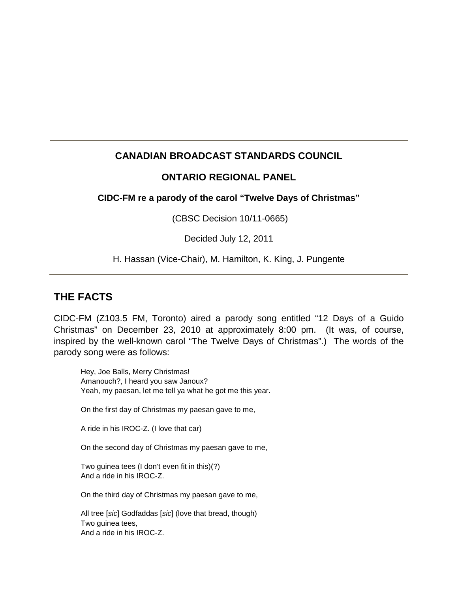# **CANADIAN BROADCAST STANDARDS COUNCIL**

## **ONTARIO REGIONAL PANEL**

### **CIDC-FM re a parody of the carol "Twelve Days of Christmas"**

(CBSC Decision 10/11-0665)

Decided July 12, 2011

H. Hassan (Vice-Chair), M. Hamilton, K. King, J. Pungente

# **THE FACTS**

CIDC-FM (Z103.5 FM, Toronto) aired a parody song entitled "12 Days of a Guido Christmas" on December 23, 2010 at approximately 8:00 pm. (It was, of course, inspired by the well-known carol "The Twelve Days of Christmas".) The words of the parody song were as follows:

Hey, Joe Balls, Merry Christmas! Amanouch?, I heard you saw Janoux? Yeah, my paesan, let me tell ya what he got me this year.

On the first day of Christmas my paesan gave to me,

A ride in his IROC-Z. (I love that car)

On the second day of Christmas my paesan gave to me,

Two guinea tees (I don't even fit in this)(?) And a ride in his IROC-Z.

On the third day of Christmas my paesan gave to me,

All tree [*sic*] Godfaddas [*sic*] (love that bread, though) Two guinea tees, And a ride in his IROC-Z.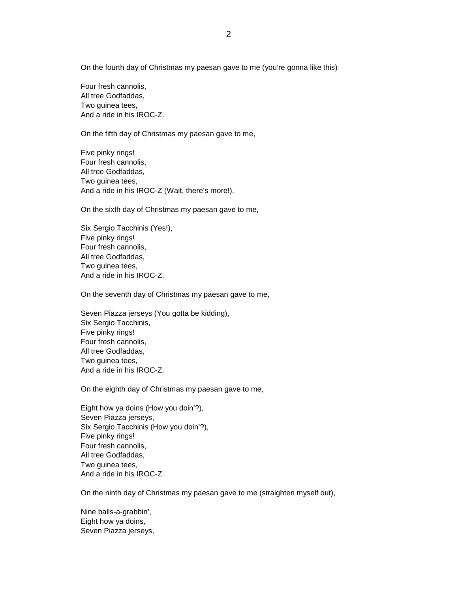On the fourth day of Christmas my paesan gave to me (you're gonna like this)

Four fresh cannolis, All tree Godfaddas, Two guinea tees, And a ride in his IROC-Z.

On the fifth day of Christmas my paesan gave to me,

Five pinky rings! Four fresh cannolis, All tree Godfaddas, Two guinea tees, And a ride in his IROC-Z (Wait, there's more!).

On the sixth day of Christmas my paesan gave to me,

Six Sergio Tacchinis (Yes!), Five pinky rings! Four fresh cannolis, All tree Godfaddas, Two guinea tees, And a ride in his IROC-Z.

On the seventh day of Christmas my paesan gave to me,

Seven Piazza jerseys (You gotta be kidding), Six Sergio Tacchinis, Five pinky rings! Four fresh cannolis, All tree Godfaddas, Two guinea tees, And a ride in his IROC-Z.

On the eighth day of Christmas my paesan gave to me,

Eight how ya doins (How you doin'?), Seven Piazza jerseys, Six Sergio Tacchinis (How you doin'?), Five pinky rings! Four fresh cannolis, All tree Godfaddas, Two guinea tees, And a ride in his IROC-Z.

On the ninth day of Christmas my paesan gave to me (straighten myself out),

Nine balls-a-grabbin', Eight how ya doins, Seven Piazza jerseys,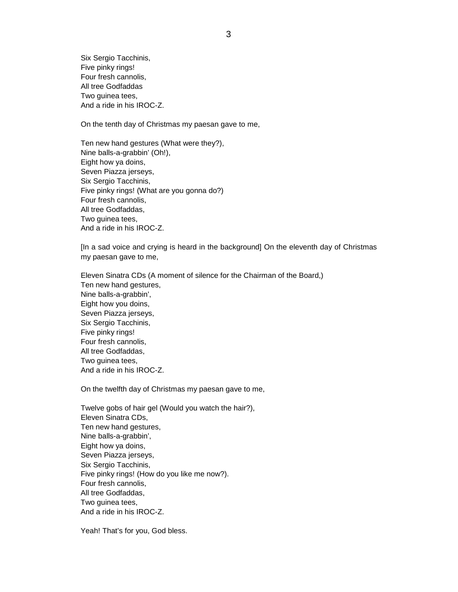Six Sergio Tacchinis, Five pinky rings! Four fresh cannolis, All tree Godfaddas Two guinea tees, And a ride in his IROC-Z.

On the tenth day of Christmas my paesan gave to me,

Ten new hand gestures (What were they?), Nine balls-a-grabbin' (Oh!), Eight how ya doins, Seven Piazza jerseys, Six Sergio Tacchinis, Five pinky rings! (What are you gonna do?) Four fresh cannolis, All tree Godfaddas, Two guinea tees, And a ride in his IROC-Z.

[In a sad voice and crying is heard in the background] On the eleventh day of Christmas my paesan gave to me,

Eleven Sinatra CDs (A moment of silence for the Chairman of the Board,) Ten new hand gestures, Nine balls-a-grabbin', Eight how you doins, Seven Piazza jerseys, Six Sergio Tacchinis, Five pinky rings! Four fresh cannolis, All tree Godfaddas, Two guinea tees, And a ride in his IROC-Z.

On the twelfth day of Christmas my paesan gave to me,

Twelve gobs of hair gel (Would you watch the hair?), Eleven Sinatra CDs, Ten new hand gestures, Nine balls-a-grabbin', Eight how ya doins, Seven Piazza jerseys, Six Sergio Tacchinis, Five pinky rings! (How do you like me now?). Four fresh cannolis, All tree Godfaddas, Two guinea tees, And a ride in his IROC-Z.

Yeah! That's for you, God bless.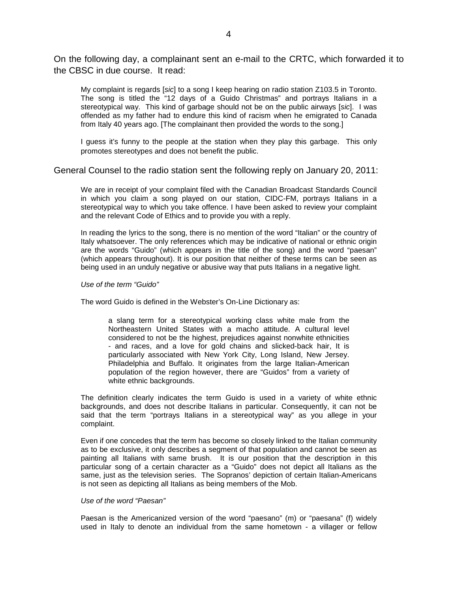On the following day, a complainant sent an e-mail to the CRTC, which forwarded it to the CBSC in due course. It read:

My complaint is regards [*sic*] to a song I keep hearing on radio station Z103.5 in Toronto. The song is titled the "12 days of a Guido Christmas" and portrays Italians in a stereotypical way. This kind of garbage should not be on the public airways [*sic*]. I was offended as my father had to endure this kind of racism when he emigrated to Canada from Italy 40 years ago. [The complainant then provided the words to the song.]

I guess it's funny to the people at the station when they play this garbage. This only promotes stereotypes and does not benefit the public.

General Counsel to the radio station sent the following reply on January 20, 2011:

We are in receipt of your complaint filed with the Canadian Broadcast Standards Council in which you claim a song played on our station, CIDC-FM, portrays Italians in a stereotypical way to which you take offence. I have been asked to review your complaint and the relevant Code of Ethics and to provide you with a reply.

In reading the lyrics to the song, there is no mention of the word "Italian" or the country of Italy whatsoever. The only references which may be indicative of national or ethnic origin are the words "Guido" (which appears in the title of the song) and the word "paesan" (which appears throughout). It is our position that neither of these terms can be seen as being used in an unduly negative or abusive way that puts Italians in a negative light.

*Use of the term "Guido"*

The word Guido is defined in the Webster's On-Line Dictionary as:

a slang term for a stereotypical working class white male from the Northeastern United States with a macho attitude. A cultural level considered to not be the highest, prejudices against nonwhite ethnicities - and races, and a love for gold chains and slicked-back hair, It is particularly associated with New York City, Long Island, New Jersey. Philadelphia and Buffalo. It originates from the large Italian-American population of the region however, there are "Guidos" from a variety of white ethnic backgrounds.

The definition clearly indicates the term Guido is used in a variety of white ethnic backgrounds, and does not describe Italians in particular. Consequently, it can not be said that the term "portrays Italians in a stereotypical way" as you allege in your complaint.

Even if one concedes that the term has become so closely linked to the Italian community as to be exclusive, it only describes a segment of that population and cannot be seen as painting all Italians with same brush. It is our position that the description in this particular song of a certain character as a "Guido" does not depict all Italians as the same, just as the television series. The Sopranos' depiction of certain Italian-Americans is not seen as depicting all Italians as being members of the Mob.

#### *Use of the word "Paesan"*

Paesan is the Americanized version of the word "paesano" (m) or "paesana" (f) widely used in Italy to denote an individual from the same hometown - a villager or fellow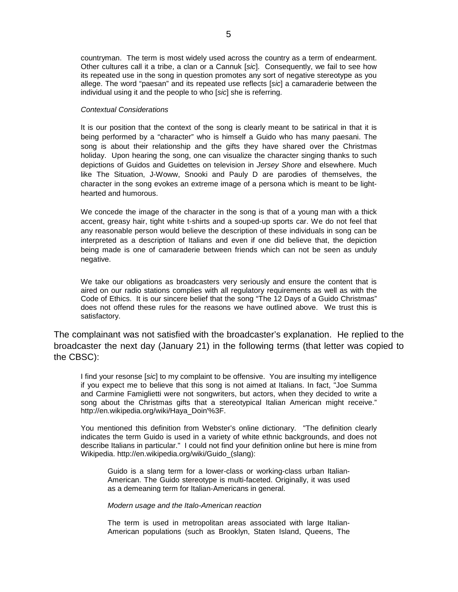countryman. The term is most widely used across the country as a term of endearment. Other cultures call it a tribe, a clan or a Cannuk [*sic*]. Consequently, we fail to see how its repeated use in the song in question promotes any sort of negative stereotype as you allege. The word "paesan" and its repeated use reflects [*sic*] a camaraderie between the individual using it and the people to who [*sic*] she is referring.

#### *Contextual Considerations*

It is our position that the context of the song is clearly meant to be satirical in that it is being performed by a "character" who is himself a Guido who has many paesani. The song is about their relationship and the gifts they have shared over the Christmas holiday. Upon hearing the song, one can visualize the character singing thanks to such depictions of Guidos and Guidettes on television in *Jersey Shore* and elsewhere. Much like The Situation, J-Woww, Snooki and Pauly D are parodies of themselves, the character in the song evokes an extreme image of a persona which is meant to be lighthearted and humorous.

We concede the image of the character in the song is that of a young man with a thick accent, greasy hair, tight white t-shirts and a souped-up sports car. We do not feel that any reasonable person would believe the description of these individuals in song can be interpreted as a description of Italians and even if one did believe that, the depiction being made is one of camaraderie between friends which can not be seen as unduly negative.

We take our obligations as broadcasters very seriously and ensure the content that is aired on our radio stations complies with all regulatory requirements as well as with the Code of Ethics. It is our sincere belief that the song "The 12 Days of a Guido Christmas" does not offend these rules for the reasons we have outlined above. We trust this is satisfactory.

The complainant was not satisfied with the broadcaster's explanation. He replied to the broadcaster the next day (January 21) in the following terms (that letter was copied to the CBSC):

I find your resonse [*sic*] to my complaint to be offensive. You are insulting my intelligence if you expect me to believe that this song is not aimed at Italians. In fact, "Joe Summa and Carmine Famiglietti were not songwriters, but actors, when they decided to write a song about the Christmas gifts that a stereotypical Italian American might receive." http://en.wikipedia.org/wiki/Haya\_Doin'%3F.

You mentioned this definition from Webster's online dictionary. "The definition clearly indicates the term Guido is used in a variety of white ethnic backgrounds, and does not describe Italians in particular." I could not find your definition online but here is mine from Wikipedia. http://en.wikipedia.org/wiki/Guido\_(slang):

Guido is a slang term for a lower-class or working-class urban Italian-American. The Guido stereotype is multi-faceted. Originally, it was used as a demeaning term for Italian-Americans in general.

*Modern usage and the Italo-American reaction*

The term is used in metropolitan areas associated with large Italian-American populations (such as Brooklyn, Staten Island, Queens, The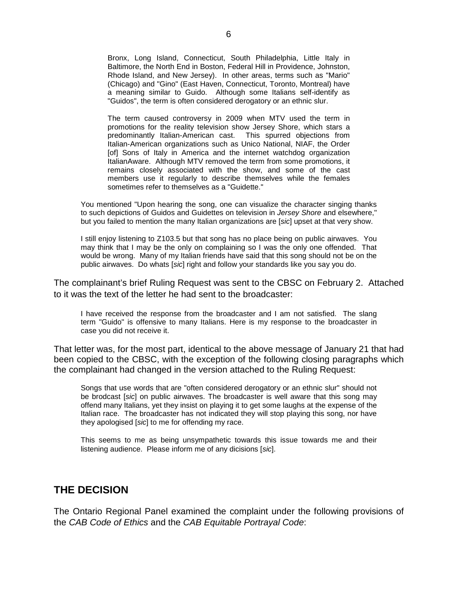Bronx, Long Island, Connecticut, South Philadelphia, Little Italy in Baltimore, the North End in Boston, Federal Hill in Providence, Johnston, Rhode Island, and New Jersey). In other areas, terms such as "Mario" (Chicago) and "Gino" (East Haven, Connecticut, Toronto, Montreal) have a meaning similar to Guido. Although some Italians self-identify as "Guidos", the term is often considered derogatory or an ethnic slur.

The term caused controversy in 2009 when MTV used the term in promotions for the reality television show Jersey Shore, which stars a predominantly Italian-American cast. This spurred objections from Italian-American organizations such as Unico National, NIAF, the Order [of] Sons of Italy in America and the internet watchdog organization ItalianAware. Although MTV removed the term from some promotions, it remains closely associated with the show, and some of the cast members use it regularly to describe themselves while the females sometimes refer to themselves as a "Guidette."

You mentioned "Upon hearing the song, one can visualize the character singing thanks to such depictions of Guidos and Guidettes on television in *Jersey Shore* and elsewhere," but you failed to mention the many Italian organizations are [*sic*] upset at that very show.

I still enjoy listening to Z103.5 but that song has no place being on public airwaves. You may think that I may be the only on complaining so I was the only one offended. That would be wrong. Many of my Italian friends have said that this song should not be on the public airwaves. Do whats [*sic*] right and follow your standards like you say you do.

The complainant's brief Ruling Request was sent to the CBSC on February 2. Attached to it was the text of the letter he had sent to the broadcaster:

I have received the response from the broadcaster and I am not satisfied. The slang term "Guido" is offensive to many Italians. Here is my response to the broadcaster in case you did not receive it.

That letter was, for the most part, identical to the above message of January 21 that had been copied to the CBSC, with the exception of the following closing paragraphs which the complainant had changed in the version attached to the Ruling Request:

Songs that use words that are "often considered derogatory or an ethnic slur" should not be brodcast [*sic*] on public airwaves. The broadcaster is well aware that this song may offend many Italians, yet they insist on playing it to get some laughs at the expense of the Italian race. The broadcaster has not indicated they will stop playing this song, nor have they apologised [*sic*] to me for offending my race.

This seems to me as being unsympathetic towards this issue towards me and their listening audience. Please inform me of any dicisions [*sic*].

# **THE DECISION**

The Ontario Regional Panel examined the complaint under the following provisions of the *CAB Code of Ethics* and the *CAB Equitable Portrayal Code*: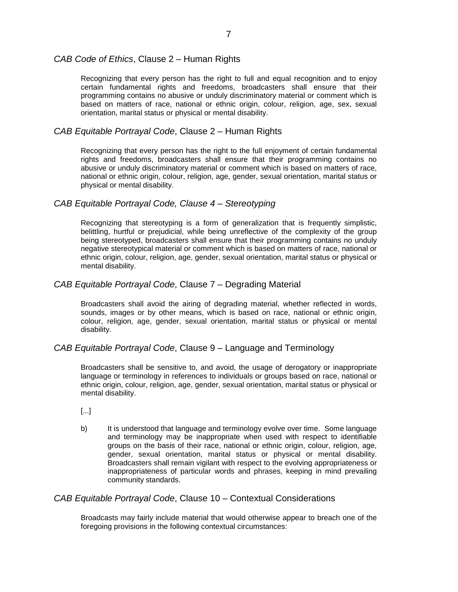### *CAB Code of Ethics*, Clause 2 – Human Rights

Recognizing that every person has the right to full and equal recognition and to enjoy certain fundamental rights and freedoms, broadcasters shall ensure that their programming contains no abusive or unduly discriminatory material or comment which is based on matters of race, national or ethnic origin, colour, religion, age, sex, sexual orientation, marital status or physical or mental disability.

### *CAB Equitable Portrayal Code*, Clause 2 – Human Rights

Recognizing that every person has the right to the full enjoyment of certain fundamental rights and freedoms, broadcasters shall ensure that their programming contains no abusive or unduly discriminatory material or comment which is based on matters of race, national or ethnic origin, colour, religion, age, gender, sexual orientation, marital status or physical or mental disability.

### *CAB Equitable Portrayal Code, Clause 4 – Stereotyping*

Recognizing that stereotyping is a form of generalization that is frequently simplistic, belittling, hurtful or prejudicial, while being unreflective of the complexity of the group being stereotyped, broadcasters shall ensure that their programming contains no unduly negative stereotypical material or comment which is based on matters of race, national or ethnic origin, colour, religion, age, gender, sexual orientation, marital status or physical or mental disability.

### *CAB Equitable Portrayal Code*, Clause 7 – Degrading Material

Broadcasters shall avoid the airing of degrading material, whether reflected in words, sounds, images or by other means, which is based on race, national or ethnic origin, colour, religion, age, gender, sexual orientation, marital status or physical or mental disability.

#### *CAB Equitable Portrayal Code*, Clause 9 – Language and Terminology

Broadcasters shall be sensitive to, and avoid, the usage of derogatory or inappropriate language or terminology in references to individuals or groups based on race, national or ethnic origin, colour, religion, age, gender, sexual orientation, marital status or physical or mental disability.

- [...]
- b) It is understood that language and terminology evolve over time. Some language and terminology may be inappropriate when used with respect to identifiable groups on the basis of their race, national or ethnic origin, colour, religion, age, gender, sexual orientation, marital status or physical or mental disability. Broadcasters shall remain vigilant with respect to the evolving appropriateness or inappropriateness of particular words and phrases, keeping in mind prevailing community standards.

#### *CAB Equitable Portrayal Code*, Clause 10 – Contextual Considerations

Broadcasts may fairly include material that would otherwise appear to breach one of the foregoing provisions in the following contextual circumstances: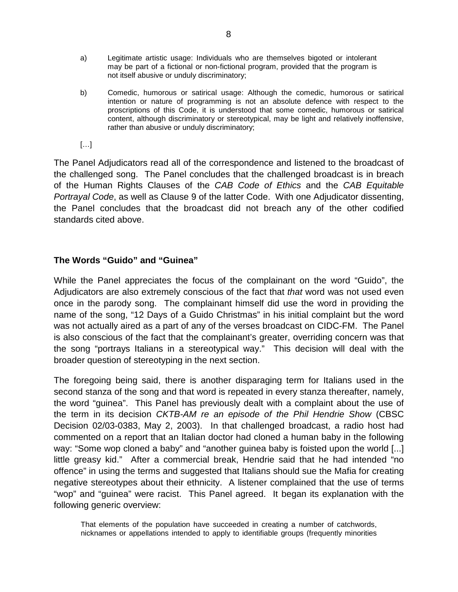- a) Legitimate artistic usage: Individuals who are themselves bigoted or intolerant may be part of a fictional or non-fictional program, provided that the program is not itself abusive or unduly discriminatory;
- b) Comedic, humorous or satirical usage: Although the comedic, humorous or satirical intention or nature of programming is not an absolute defence with respect to the proscriptions of this Code, it is understood that some comedic, humorous or satirical content, although discriminatory or stereotypical, may be light and relatively inoffensive, rather than abusive or unduly discriminatory;
- $[\ldots]$

The Panel Adjudicators read all of the correspondence and listened to the broadcast of the challenged song. The Panel concludes that the challenged broadcast is in breach of the Human Rights Clauses of the *CAB Code of Ethics* and the *CAB Equitable Portrayal Code*, as well as Clause 9 of the latter Code. With one Adjudicator dissenting, the Panel concludes that the broadcast did not breach any of the other codified standards cited above.

## **The Words "Guido" and "Guinea"**

While the Panel appreciates the focus of the complainant on the word "Guido", the Adjudicators are also extremely conscious of the fact that *that* word was not used even once in the parody song. The complainant himself did use the word in providing the name of the song, "12 Days of a Guido Christmas" in his initial complaint but the word was not actually aired as a part of any of the verses broadcast on CIDC-FM. The Panel is also conscious of the fact that the complainant's greater, overriding concern was that the song "portrays Italians in a stereotypical way." This decision will deal with the broader question of stereotyping in the next section.

The foregoing being said, there is another disparaging term for Italians used in the second stanza of the song and that word is repeated in every stanza thereafter, namely, the word "guinea". This Panel has previously dealt with a complaint about the use of the term in its decision *CKTB-AM re an episode of the Phil Hendrie Show* (CBSC Decision 02/03-0383, May 2, 2003). In that challenged broadcast, a radio host had commented on a report that an Italian doctor had cloned a human baby in the following way: "Some wop cloned a baby" and "another guinea baby is foisted upon the world [...] little greasy kid." After a commercial break, Hendrie said that he had intended "no offence" in using the terms and suggested that Italians should sue the Mafia for creating negative stereotypes about their ethnicity. A listener complained that the use of terms "wop" and "guinea" were racist. This Panel agreed. It began its explanation with the following generic overview:

That elements of the population have succeeded in creating a number of catchwords, nicknames or appellations intended to apply to identifiable groups (frequently minorities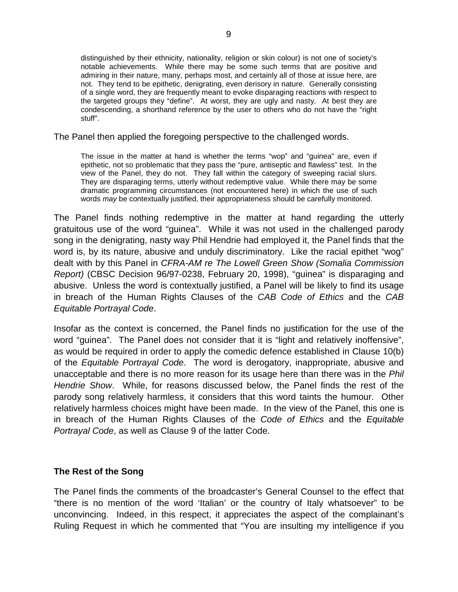distinguished by their ethnicity, nationality, religion or skin colour) is not one of society's notable achievements. While there may be some such terms that are positive and admiring in their nature, many, perhaps most, and certainly all of those at issue here, are not. They tend to be epithetic, denigrating, even derisory in nature. Generally consisting of a single word, they are frequently meant to evoke disparaging reactions with respect to the targeted groups they "define". At worst, they are ugly and nasty. At best they are condescending, a shorthand reference by the user to others who do not have the "right stuff".

The Panel then applied the foregoing perspective to the challenged words.

The issue in the matter at hand is whether the terms "wop" and "guinea" are, even if epithetic, not so problematic that they pass the "pure, antiseptic and flawless" test. In the view of the Panel, they do not. They fall within the category of sweeping racial slurs. They are disparaging terms, utterly without redemptive value. While there may be some dramatic programming circumstances (not encountered here) in which the use of such words *may* be contextually justified, their appropriateness should be carefully monitored.

The Panel finds nothing redemptive in the matter at hand regarding the utterly gratuitous use of the word "guinea". While it was not used in the challenged parody song in the denigrating, nasty way Phil Hendrie had employed it, the Panel finds that the word is, by its nature, abusive and unduly discriminatory. Like the racial epithet "wog" dealt with by this Panel in *CFRA-AM re The Lowell Green Show (Somalia Commission Report)* (CBSC Decision 96/97-0238, February 20, 1998), "guinea" is disparaging and abusive. Unless the word is contextually justified, a Panel will be likely to find its usage in breach of the Human Rights Clauses of the *CAB Code of Ethics* and the *CAB Equitable Portrayal Code*.

Insofar as the context is concerned, the Panel finds no justification for the use of the word "guinea". The Panel does not consider that it is "light and relatively inoffensive", as would be required in order to apply the comedic defence established in Clause 10(b) of the *Equitable Portrayal Code*. The word is derogatory, inappropriate, abusive and unacceptable and there is no more reason for its usage here than there was in the *Phil Hendrie Show*. While, for reasons discussed below, the Panel finds the rest of the parody song relatively harmless, it considers that this word taints the humour. Other relatively harmless choices might have been made. In the view of the Panel, this one is in breach of the Human Rights Clauses of the *Code of Ethics* and the *Equitable Portrayal Code*, as well as Clause 9 of the latter Code.

## **The Rest of the Song**

The Panel finds the comments of the broadcaster's General Counsel to the effect that "there is no mention of the word 'Italian' or the country of Italy whatsoever" to be unconvincing. Indeed, in this respect, it appreciates the aspect of the complainant's Ruling Request in which he commented that "You are insulting my intelligence if you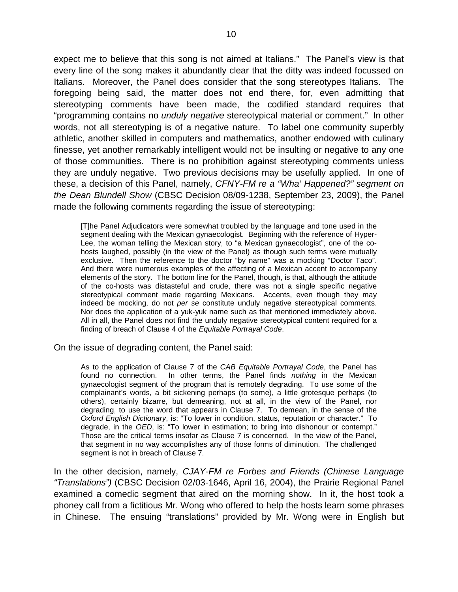expect me to believe that this song is not aimed at Italians." The Panel's view is that every line of the song makes it abundantly clear that the ditty was indeed focussed on Italians. Moreover, the Panel does consider that the song stereotypes Italians. The foregoing being said, the matter does not end there, for, even admitting that stereotyping comments have been made, the codified standard requires that "programming contains no *unduly negative* stereotypical material or comment." In other words, not all stereotyping is of a negative nature. To label one community superbly athletic, another skilled in computers and mathematics, another endowed with culinary finesse, yet another remarkably intelligent would not be insulting or negative to any one of those communities. There is no prohibition against stereotyping comments unless they are unduly negative. Two previous decisions may be usefully applied. In one of these, a decision of this Panel, namely, *CFNY-FM re a "Wha' Happened?" segment on the Dean Blundell Show* (CBSC Decision 08/09-1238, September 23, 2009), the Panel made the following comments regarding the issue of stereotyping:

[T]he Panel Adjudicators were somewhat troubled by the language and tone used in the segment dealing with the Mexican gynaecologist. Beginning with the reference of Hyper-Lee, the woman telling the Mexican story, to "a Mexican gynaecologist", one of the cohosts laughed, possibly (in the view of the Panel) as though such terms were mutually exclusive. Then the reference to the doctor "by name" was a mocking "Doctor Taco". And there were numerous examples of the affecting of a Mexican accent to accompany elements of the story. The bottom line for the Panel, though, is that, although the attitude of the co-hosts was distasteful and crude, there was not a single specific negative stereotypical comment made regarding Mexicans. Accents, even though they may indeed be mocking, do not *per se* constitute unduly negative stereotypical comments. Nor does the application of a yuk-yuk name such as that mentioned immediately above. All in all, the Panel does not find the unduly negative stereotypical content required for a finding of breach of Clause 4 of the *Equitable Portrayal Code*.

On the issue of degrading content, the Panel said:

As to the application of Clause 7 of the *CAB Equitable Portrayal Code*, the Panel has found no connection. In other terms, the Panel finds *nothing* in the Mexican gynaecologist segment of the program that is remotely degrading. To use some of the complainant's words, a bit sickening perhaps (to some), a little grotesque perhaps (to others), certainly bizarre, but demeaning, not at all, in the view of the Panel, nor degrading, to use the word that appears in Clause 7. To demean, in the sense of the *Oxford English Dictionary*, is: "To lower in condition, status, reputation or character." To degrade, in the *OED*, is: "To lower in estimation; to bring into dishonour or contempt." Those are the critical terms insofar as Clause 7 is concerned. In the view of the Panel, that segment in no way accomplishes any of those forms of diminution. The challenged segment is not in breach of Clause 7.

In the other decision, namely, *CJAY-FM re Forbes and Friends (Chinese Language "Translations")* (CBSC Decision 02/03-1646, April 16, 2004), the Prairie Regional Panel examined a comedic segment that aired on the morning show. In it, the host took a phoney call from a fictitious Mr. Wong who offered to help the hosts learn some phrases in Chinese. The ensuing "translations" provided by Mr. Wong were in English but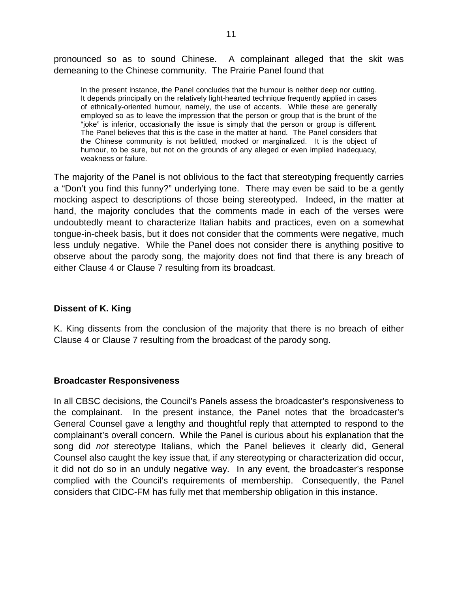pronounced so as to sound Chinese. A complainant alleged that the skit was demeaning to the Chinese community. The Prairie Panel found that

In the present instance, the Panel concludes that the humour is neither deep nor cutting. It depends principally on the relatively light-hearted technique frequently applied in cases of ethnically-oriented humour, namely, the use of accents. While these are generally employed so as to leave the impression that the person or group that is the brunt of the "joke" is inferior, occasionally the issue is simply that the person or group is different. The Panel believes that this is the case in the matter at hand. The Panel considers that the Chinese community is not belittled, mocked or marginalized. It is the object of humour, to be sure, but not on the grounds of any alleged or even implied inadequacy, weakness or failure.

The majority of the Panel is not oblivious to the fact that stereotyping frequently carries a "Don't you find this funny?" underlying tone. There may even be said to be a gently mocking aspect to descriptions of those being stereotyped. Indeed, in the matter at hand, the majority concludes that the comments made in each of the verses were undoubtedly meant to characterize Italian habits and practices, even on a somewhat tongue-in-cheek basis, but it does not consider that the comments were negative, much less unduly negative. While the Panel does not consider there is anything positive to observe about the parody song, the majority does not find that there is any breach of either Clause 4 or Clause 7 resulting from its broadcast.

## **Dissent of K. King**

K. King dissents from the conclusion of the majority that there is no breach of either Clause 4 or Clause 7 resulting from the broadcast of the parody song.

## **Broadcaster Responsiveness**

In all CBSC decisions, the Council's Panels assess the broadcaster's responsiveness to the complainant. In the present instance, the Panel notes that the broadcaster's General Counsel gave a lengthy and thoughtful reply that attempted to respond to the complainant's overall concern. While the Panel is curious about his explanation that the song did *not* stereotype Italians, which the Panel believes it clearly did, General Counsel also caught the key issue that, if any stereotyping or characterization did occur, it did not do so in an unduly negative way. In any event, the broadcaster's response complied with the Council's requirements of membership. Consequently, the Panel considers that CIDC-FM has fully met that membership obligation in this instance.